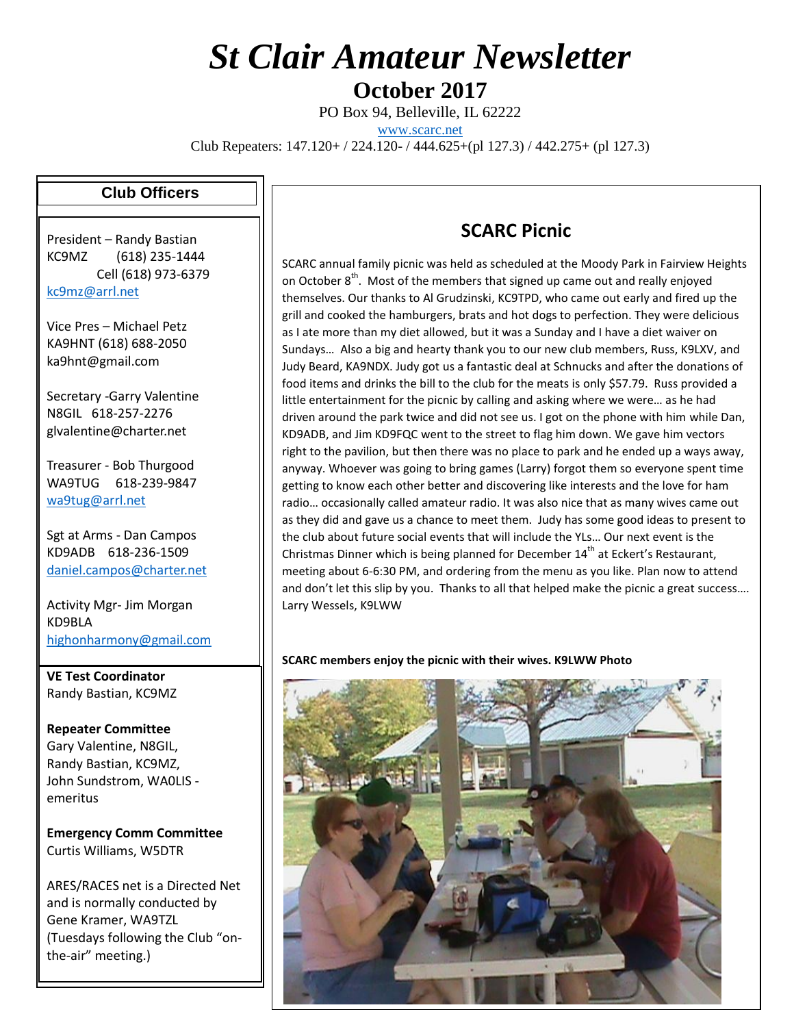# *St Clair Amateur Newsletter*

**October 2017**

PO Box 94, Belleville, IL 62222

[www.scarc.net](http://www.scarc.net/)

Club Repeaters: 147.120+ / 224.120- / 444.625+(pl 127.3) / 442.275+ (pl 127.3)

#### **Club Officers**

President – Randy Bastian KC9MZ (618) 235-1444 Cell (618) 973-6379 [kc9mz@arrl.net](mailto:kc9mz@arrl.net)

Vice Pres – Michael Petz KA9HNT (618) 688-2050 ka9hnt@gmail.com

Secretary -Garry Valentine N8GIL 618-257-2276 glvalentine@charter.net

Treasurer - Bob Thurgood WA9TUG 618-239-9847 [wa9tug@arrl.net](mailto:wa9tug@arrl.net)

Sgt at Arms - Dan Campos KD9ADB 618-236-1509 [daniel.campos@charter.net](mailto:daniel.campos@charter.net)

Activity Mgr- Jim Morgan KD9BLA [highonharmony@gmail.com](mailto:highonharmony@gmail.com)

**VE Test Coordinator** Randy Bastian, KC9MZ

**Repeater Committee** Gary Valentine, N8GIL, Randy Bastian, KC9MZ, John Sundstrom, WA0LIS emeritus

**Emergency Comm Committee** Curtis Williams, W5DTR

ARES/RACES net is a Directed Net and is normally conducted by Gene Kramer, WA9TZL (Tuesdays following the Club "onthe-air" meeting.)

### **SCARC Picnic**

SCARC annual family picnic was held as scheduled at the Moody Park in Fairview Heights on October 8<sup>th</sup>. Most of the members that signed up came out and really enjoyed themselves. Our thanks to Al Grudzinski, KC9TPD, who came out early and fired up the grill and cooked the hamburgers, brats and hot dogs to perfection. They were delicious as I ate more than my diet allowed, but it was a Sunday and I have a diet waiver on Sundays… Also a big and hearty thank you to our new club members, Russ, K9LXV, and Judy Beard, KA9NDX. Judy got us a fantastic deal at Schnucks and after the donations of food items and drinks the bill to the club for the meats is only \$57.79. Russ provided a little entertainment for the picnic by calling and asking where we were… as he had driven around the park twice and did not see us. I got on the phone with him while Dan, KD9ADB, and Jim KD9FQC went to the street to flag him down. We gave him vectors right to the pavilion, but then there was no place to park and he ended up a ways away, anyway. Whoever was going to bring games (Larry) forgot them so everyone spent time getting to know each other better and discovering like interests and the love for ham radio… occasionally called amateur radio. It was also nice that as many wives came out as they did and gave us a chance to meet them. Judy has some good ideas to present to the club about future social events that will include the YLs… Our next event is the Christmas Dinner which is being planned for December  $14<sup>th</sup>$  at Eckert's Restaurant, meeting about 6-6:30 PM, and ordering from the menu as you like. Plan now to attend and don't let this slip by you. Thanks to all that helped make the picnic a great success…. Larry Wessels, K9LWW

**SCARC members enjoy the picnic with their wives. K9LWW Photo**

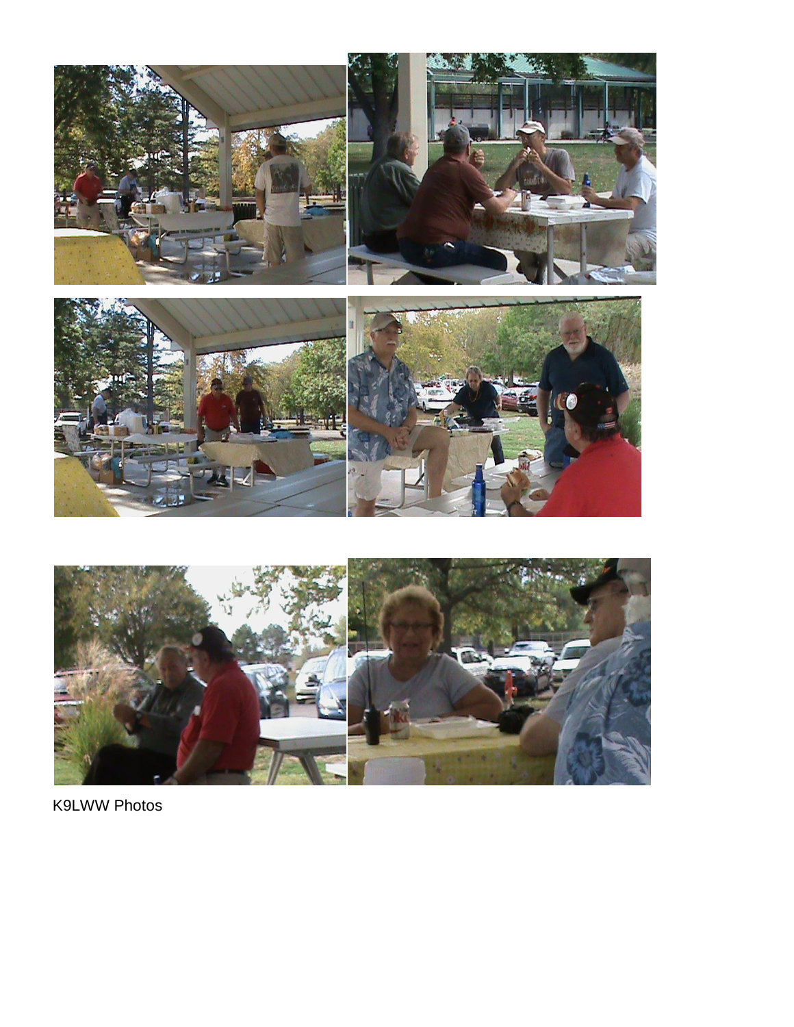



**K9LWW Photos**